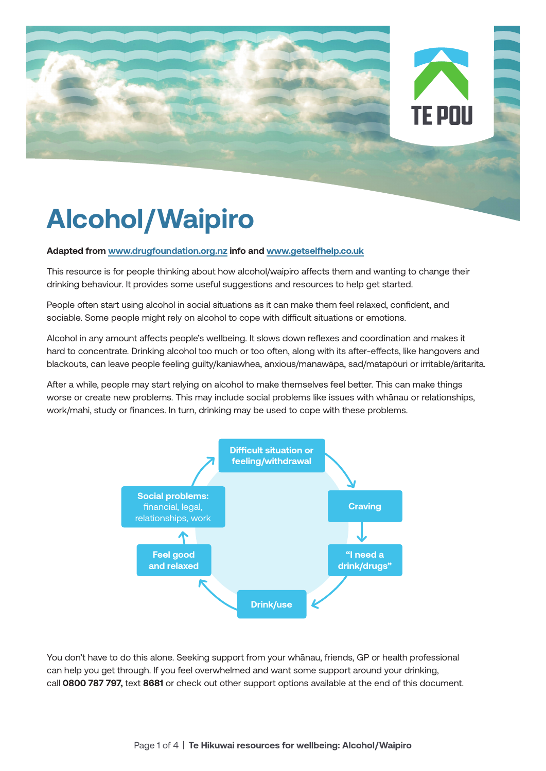



# **Alcohol/Waipiro**

#### **Adapted from www.drugfoundation.org.nz info and www.getselfhelp.co.uk**

This resource is for people thinking about how alcohol/waipiro affects them and wanting to change their drinking behaviour. It provides some useful suggestions and resources to help get started.

People often start using alcohol in social situations as it can make them feel relaxed, confident, and sociable. Some people might rely on alcohol to cope with difficult situations or emotions.

Alcohol in any amount affects people's wellbeing. It slows down reflexes and coordination and makes it hard to concentrate. Drinking alcohol too much or too often, along with its after-effects, like hangovers and blackouts, can leave people feeling guilty/kaniawhea, anxious/manawāpa, sad/matapōuri or irritable/āritarita.

After a while, people may start relying on alcohol to make themselves feel better. This can make things worse or create new problems. This may include social problems like issues with whānau or relationships, work/mahi, study or finances. In turn, drinking may be used to cope with these problems.



You don't have to do this alone. Seeking support from your whānau, friends, GP or health professional can help you get through. If you feel overwhelmed and want some support around your drinking, call **0800 787 797,** text **8681** or check out other support options available at the end of this document.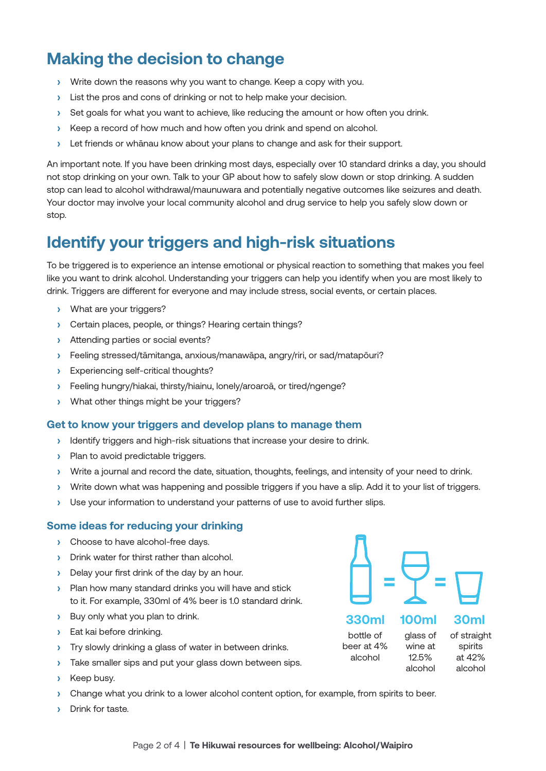# **Making the decision to change**

- **›** Write down the reasons why you want to change. Keep a copy with you.
- **›** List the pros and cons of drinking or not to help make your decision.
- **›** Set goals for what you want to achieve, like reducing the amount or how often you drink.
- **›** Keep a record of how much and how often you drink and spend on alcohol.
- **›** Let friends or whānau know about your plans to change and ask for their support.

An important note. If you have been drinking most days, especially over 10 standard drinks a day, you should not stop drinking on your own. Talk to your GP about how to safely slow down or stop drinking. A sudden stop can lead to alcohol withdrawal/maunuwara and potentially negative outcomes like seizures and death. Your doctor may involve your local community alcohol and drug service to help you safely slow down or stop.

## **Identify your triggers and high-risk situations**

To be triggered is to experience an intense emotional or physical reaction to something that makes you feel like you want to drink alcohol. Understanding your triggers can help you identify when you are most likely to drink. Triggers are different for everyone and may include stress, social events, or certain places.

- **›** What are your triggers?
- **›** Certain places, people, or things? Hearing certain things?
- **›** Attending parties or social events?
- **›** Feeling stressed/tāmitanga, anxious/manawāpa, angry/riri, or sad/matapōuri?
- **›** Experiencing self-critical thoughts?
- **›** Feeling hungry/hiakai, thirsty/hiainu, lonely/aroaroā, or tired/ngenge?
- **›** What other things might be your triggers?

### **Get to know your triggers and develop plans to manage them**

- **›** Identify triggers and high-risk situations that increase your desire to drink.
- **›** Plan to avoid predictable triggers.
- **›** Write a journal and record the date, situation, thoughts, feelings, and intensity of your need to drink.
- **›** Write down what was happening and possible triggers if you have a slip. Add it to your list of triggers.
- **›** Use your information to understand your patterns of use to avoid further slips.

#### **Some ideas for reducing your drinking**

- **›** Choose to have alcohol-free days.
- **›** Drink water for thirst rather than alcohol.
- **›** Delay your first drink of the day by an hour.
- **›** Plan how many standard drinks you will have and stick to it. For example, 330ml of 4% beer is 1.0 standard drink.
- **›** Buy only what you plan to drink.
- **›** Eat kai before drinking.
- **›** Try slowly drinking a glass of water in between drinks.
- **›** Take smaller sips and put your glass down between sips.
- **›** Keep busy.
- **›** Change what you drink to a lower alcohol content option, for example, from spirits to beer.
- **›** Drink for taste.

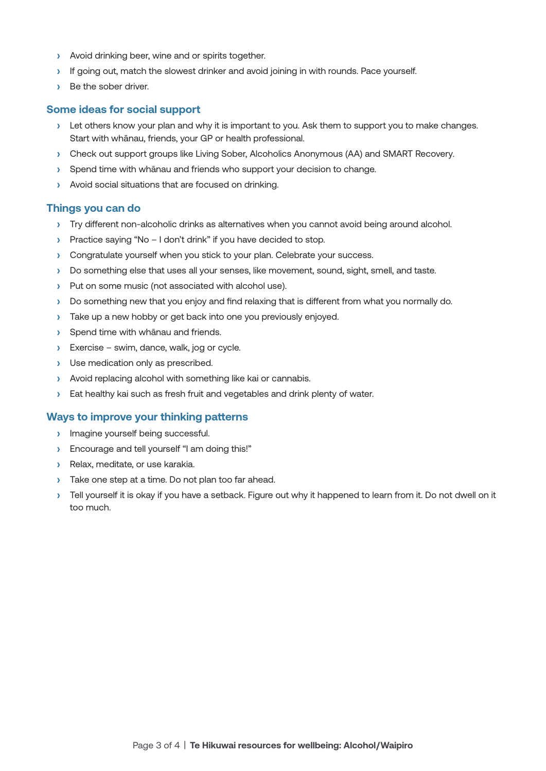- **›** Avoid drinking beer, wine and or spirits together.
- **›** If going out, match the slowest drinker and avoid joining in with rounds. Pace yourself.
- **›** Be the sober driver.

#### **Some ideas for social support**

- **›** Let others know your plan and why it is important to you. Ask them to support you to make changes. Start with whānau, friends, your GP or health professional.
- **›** Check out support groups like Living Sober, Alcoholics Anonymous (AA) and SMART Recovery.
- **›** Spend time with whānau and friends who support your decision to change.
- **›** Avoid social situations that are focused on drinking.

#### **Things you can do**

- **›** Try different non-alcoholic drinks as alternatives when you cannot avoid being around alcohol.
- **›** Practice saying "No I don't drink" if you have decided to stop.
- **›** Congratulate yourself when you stick to your plan. Celebrate your success.
- **›** Do something else that uses all your senses, like movement, sound, sight, smell, and taste.
- **›** Put on some music (not associated with alcohol use).
- **›** Do something new that you enjoy and find relaxing that is different from what you normally do.
- **›** Take up a new hobby or get back into one you previously enjoyed.
- **›** Spend time with whānau and friends.
- **›** Exercise swim, dance, walk, jog or cycle.
- **›** Use medication only as prescribed.
- **›** Avoid replacing alcohol with something like kai or cannabis.
- **›** Eat healthy kai such as fresh fruit and vegetables and drink plenty of water.

#### **Ways to improve your thinking patterns**

- **›** Imagine yourself being successful.
- **›** Encourage and tell yourself "I am doing this!"
- **›** Relax, meditate, or use karakia.
- **›** Take one step at a time. Do not plan too far ahead.
- **›** Tell yourself it is okay if you have a setback. Figure out why it happened to learn from it. Do not dwell on it too much.